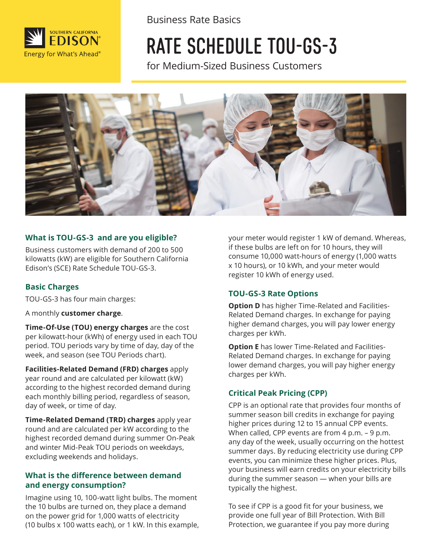

Business Rate Basics

# RATE SCHEDULE TOU-GS-3

for Medium-Sized Business Customers



#### **What is TOU-GS-3 and are you eligible?**

Business customers with demand of 200 to 500 kilowatts (kW) are eligible for Southern California Edison's (SCE) Rate Schedule TOU-GS-3.

#### **Basic Charges**

TOU-GS-3 has four main charges:

A monthly **customer charge**.

**Time-Of-Use (TOU) energy charges** are the cost per kilowatt-hour (kWh) of energy used in each TOU period. TOU periods vary by time of day, day of the week, and season (see TOU Periods chart).

**Facilities-Related Demand (FRD) charges** apply year round and are calculated per kilowatt (kW) according to the highest recorded demand during each monthly billing period, regardless of season, day of week, or time of day.

**Time-Related Demand (TRD) charges** apply year round and are calculated per kW according to the highest recorded demand during summer On-Peak and winter Mid-Peak TOU periods on weekdays, excluding weekends and holidays.

#### **What is the difference between demand and energy consumption?**

Imagine using 10, 100-watt light bulbs. The moment the 10 bulbs are turned on, they place a demand on the power grid for 1,000 watts of electricity (10 bulbs x 100 watts each), or 1 kW. In this example, your meter would register 1 kW of demand. Whereas, if these bulbs are left on for 10 hours, they will consume 10,000 watt-hours of energy (1,000 watts x 10 hours), or 10 kWh, and your meter would register 10 kWh of energy used.

#### **TOU-GS-3 Rate Options**

**Option D** has higher Time-Related and Facilities-Related Demand charges. In exchange for paying higher demand charges, you will pay lower energy charges per kWh.

**Option E** has lower Time-Related and Facilities-Related Demand charges. In exchange for paying lower demand charges, you will pay higher energy charges per kWh.

#### **Critical Peak Pricing (CPP)**

CPP is an optional rate that provides four months of summer season bill credits in exchange for paying higher prices during 12 to 15 annual CPP events. When called, CPP events are from 4 p.m. - 9 p.m. any day of the week, usually occurring on the hottest summer days. By reducing electricity use during CPP events, you can minimize these higher prices. Plus, your business will earn credits on your electricity bills during the summer season — when your bills are typically the highest.

To see if CPP is a good fit for your business, we provide one full year of Bill Protection. With Bill Protection, we guarantee if you pay more during